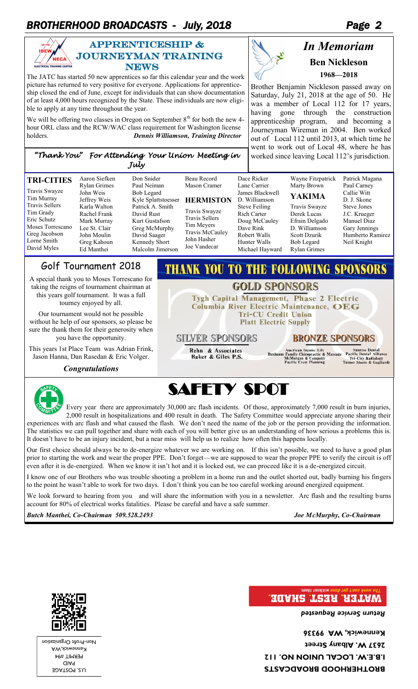### *BROTHERHOOD BROADCASTS - July, 2018 Page 2*



### APPRENTICESHIP &  $\sum_{\texttt{NECA}}$  JOURNEYMAN TRAINING **NEWS**

The JATC has started 50 new apprentices so far this calendar year and the work picture has returned to very positive for everyone. Applications for apprenticeship closed the end of June, except for individuals that can show documentation of at least 4,000 hours recognized by the State. These individuals are now eligible to apply at any time throughout the year.

We will be offering two classes in Oregon on September  $8<sup>th</sup>$  for both the new 4hour ORL class and the RCW/WAC class requirement for Washington license holders. *Dennis Williamson, Training Director* 

# Ł

**THANK YOU TO THE FOLLOWING SPONSORS** 

**GOLD SPONSORS** Tygh Capital Management, Phase 2 Electric Columbia River Electric Maintenance, OEG **Tri-CU Credit Union Platt Electric Supply** 

### *In Memoriam*  **Ben Nickleson 1968—2018**

Brother Benjamin Nickleson passed away on Saturday, July 21, 2018 at the age of 50. He was a member of Local 112 for 17 years, having gone through the construction apprenticeship program, and becoming a Journeyman Wireman in 2004. Ben worked out of Local 112 until 2013, at which time he went to work out of Local 48, where he has worked since leaving Local 112's jurisdiction.

### *"Thank You" For Attending Your Union Meeting in July*

| <b>TRI-CITIES</b>                                                                                                    | Aaron Siefken<br>Rylan Grimes                                                                            | Don Snider<br>Paul Neiman                                                                                              | Beau Record<br>Mason Cramer                                                                            | Dace Ricker<br>Lane Carrier                                                                                          | Wayne Fitzpatrick<br>Marty Brown                                                                                     | Patrick Magana<br>Paul Carney                                                                  |
|----------------------------------------------------------------------------------------------------------------------|----------------------------------------------------------------------------------------------------------|------------------------------------------------------------------------------------------------------------------------|--------------------------------------------------------------------------------------------------------|----------------------------------------------------------------------------------------------------------------------|----------------------------------------------------------------------------------------------------------------------|------------------------------------------------------------------------------------------------|
| Travis Swayze<br>Tim Murray                                                                                          | John Weis<br>Jeffrey Weis                                                                                | Bob Legard<br>Kyle Splattstoesser                                                                                      | <b>HERMISTON</b>                                                                                       | James Blackwell<br>D. Williamson                                                                                     | <b>YAKIMA</b>                                                                                                        | Callie Witt<br>D. J. Skone                                                                     |
| <b>Travis Sellers</b><br>Tim Grady<br>Eric Schutz<br>Moses Torrescano<br>Greg Jacobson<br>Lorne Smith<br>David Myles | Karla Walton<br>Rachel Frank<br>Mark Murray<br>Lee St. Clair<br>John Moulin<br>Greg Kahoun<br>Ed Manthei | Patrick A. Smith<br>David Rust<br>Kurt Gustafson<br>Greg McMurphy<br>David Saager<br>Kennedy Short<br>Malcolm Jimerson | Travis Swayze<br><b>Travis Sellers</b><br>Tim Meyers<br>Travis McCauley<br>John Hasher<br>Joe Vandecar | <b>Steve Feiling</b><br>Rich Carter<br>Doug McCauley<br>Dave Rink<br>Robert Walls<br>Hunter Walls<br>Michael Hayward | Travis Swayze<br>Derek Lucas<br>Efrain Delgado<br>D. Williamson<br>Scott Dzurik<br>Bob Legard<br><b>Rylan Grimes</b> | Steve Jones<br>J.C. Krueger<br>Manuel Diaz<br>Gary Jennings<br>Humberto Ramirez<br>Neil Knight |
|                                                                                                                      |                                                                                                          |                                                                                                                        |                                                                                                        |                                                                                                                      |                                                                                                                      |                                                                                                |

### Golf Tournament 2018

A special thank you to Moses Torrescano for taking the reigns of tournament chairman at this years golf tournament. It was a full tourney enjoyed by all.

Our tournament would not be possible without he help of our sponsors, so please be sure the thank them for their generosity when you have the opportunity.

This years 1st Place Team was Adrian Frink, Jason Hanna, Dan Rasedan & Eric Volger.

*Congratulations* 



# SAFETY SPOT

**SILVER SPONSORS** 

Rehn & Associates<br>Baker & Giles P.S.

Every year there are approximately 30,000 arc flash incidents. Of those, approximately 7,000 result in burn injuries, 2,000 result in hospitalizations and 400 result in death. The Safety Committee would appreciate anyone sharing their experiences with arc flash and what caused the flash. We don't need the name of the job or the person providing the information. The statistics we can pull together and share with each of you will better give us an understanding of how serious a problems this is. It doesn't have to be an injury incident, but a near miss will help us to realize how often this happens locally.

Our first choice should always be to de-energize whatever we are working on. If this isn't possible, we need to have a good plan prior to starting the work and wear the proper PPE. Don't forget—we are supposed to wear the proper PPE to verify the circuit is off even after it is de-energized. When we know it isn't hot and it is locked out, we can proceed like it is a de-energized circuit.

I know one of our Brothers who was trouble shooting a problem in a home run and the outlet shorted out, badly burning his fingers to the point he wasn't able to work for two days. I don't think you can be too careful working around energized equipment.

We look forward to hearing from you and will share the information with you in a newsletter. Arc flash and the resulting burns account for 80% of electrical works fatalities. Please be careful and have a safe summer.

*Butch Manthei, Co-Chairman 509.528.2493 Joe McMurphy, Co-Chairman* 

**BRONZE SPONSORS** 

Sunrise Dental<br>Pacific Dental Alliance<br>Tri-City Radiology<br>Turner Stoeve & Gagliardi

American Income Life<br>Family Chiropractic & Massage<br>McMorgan & Company<br>Pacific Crest Planning

### **MATER. REST SHADE.**

*Return Service Requested* 

**BROTHERHOOD BROADCASTS I.B.E.W. LOCAL UNION NO. 112 2637 W. Albany Street Kennewick, WA 99336** 



U.S. POSTAGE PAID PERMIT #94 Kennewick,WA Profit Organization - Non